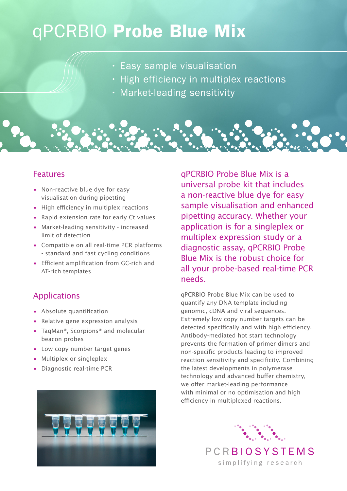## qPCRBIO Probe Blue Mix

- Easy sample visualisation
- High efficiency in multiplex reactions
- Market-leading sensitivity

## Features

- Non-reactive blue dye for easy visualisation during pipetting
- High efficiency in multiplex reactions
- Rapid extension rate for early Ct values
- Market-leading sensitivity increased limit of detection
- Compatible on all real-time PCR platforms - standard and fast cycling conditions
- Efficient amplification from GC-rich and AT-rich templates

## Applications

- Absolute quantification
- Relative gene expression analysis
- TaqMan®, Scorpions® and molecular beacon probes
- Low copy number target genes
- Multiplex or singleplex
- Diagnostic real-time PCR



qPCRBIO Probe Blue Mix is a universal probe kit that includes a non-reactive blue dye for easy sample visualisation and enhanced pipetting accuracy. Whether your application is for a singleplex or multiplex expression study or a diagnostic assay, qPCRBIO Probe Blue Mix is the robust choice for all your probe-based real-time PCR needs.

qPCRBIO Probe Blue Mix can be used to quantify any DNA template including genomic, cDNA and viral sequences. Extremely low copy number targets can be detected specifically and with high efficiency. Antibody-mediated hot start technology prevents the formation of primer dimers and non-specific products leading to improved reaction sensitivity and specificity. Combining the latest developments in polymerase technology and advanced buffer chemistry, we offer market-leading performance with minimal or no optimisation and high efficiency in multiplexed reactions.